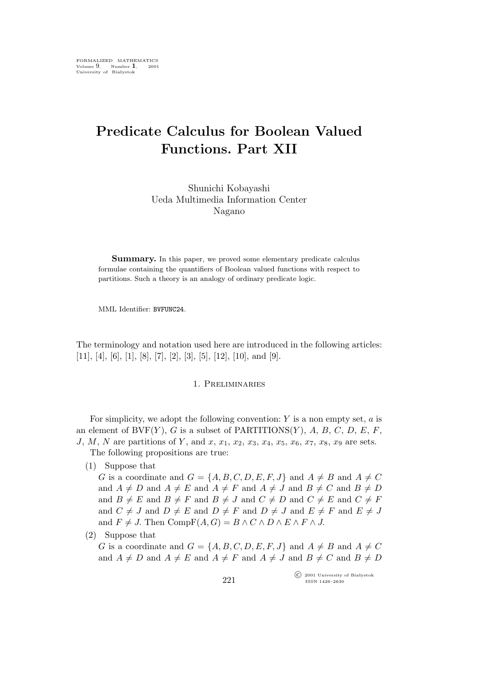# **Predicate Calculus for Boolean Valued Functions. Part XII**

Shunichi Kobayashi Ueda Multimedia Information Center Nagano

**Summary.** In this paper, we proved some elementary predicate calculus formulae containing the quantifiers of Boolean valued functions with respect to partitions. Such a theory is an analogy of ordinary predicate logic.

MML Identifier: BVFUNC24.

The terminology and notation used here are introduced in the following articles: [11], [4], [6], [1], [8], [7], [2], [3], [5], [12], [10], and [9].

#### 1. Preliminaries

For simplicity, we adopt the following convention:  $Y$  is a non empty set,  $a$  is an element of BVF $(Y)$ , G is a subset of PARTITIONS $(Y)$ , A, B, C, D, E, F, J, M, N are partitions of Y, and x,  $x_1, x_2, x_3, x_4, x_5, x_6, x_7, x_8, x_9$  are sets.

The following propositions are true:

(1) Suppose that

G is a coordinate and  $G = \{A, B, C, D, E, F, J\}$  and  $A \neq B$  and  $A \neq C$ and  $A \neq D$  and  $A \neq E$  and  $A \neq F$  and  $A \neq J$  and  $B \neq C$  and  $B \neq D$ and  $B \neq E$  and  $B \neq F$  and  $B \neq J$  and  $C \neq D$  and  $C \neq E$  and  $C \neq F$ and  $C \neq J$  and  $D \neq E$  and  $D \neq F$  and  $D \neq J$  and  $E \neq F$  and  $E \neq J$ and  $F \neq J$ . Then  $CompF(A, G) = B \wedge C \wedge D \wedge E \wedge F \wedge J$ .

(2) Suppose that

G is a coordinate and  $G = \{A, B, C, D, E, F, J\}$  and  $A \neq B$  and  $A \neq C$ and  $A \neq D$  and  $A \neq E$  and  $A \neq F$  and  $A \neq J$  and  $B \neq C$  and  $B \neq D$ 

> °c 2001 University of Białystok ISSN 1426–2630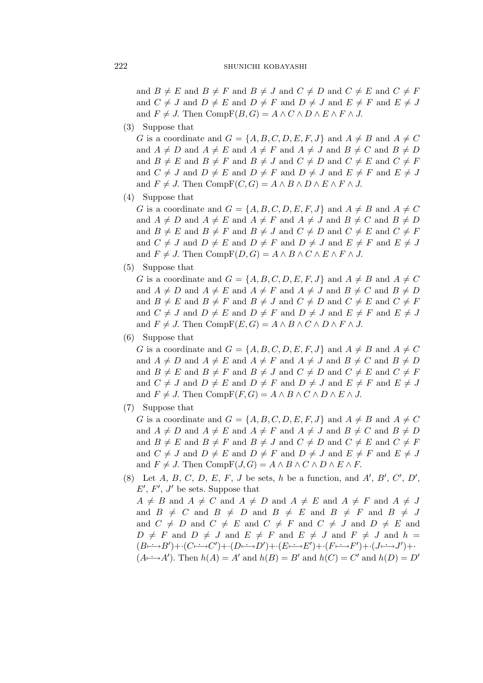#### SHUNICHI KOBAYASHI

and  $B \neq E$  and  $B \neq F$  and  $B \neq J$  and  $C \neq D$  and  $C \neq E$  and  $C \neq F$ and  $C \neq J$  and  $D \neq E$  and  $D \neq F$  and  $D \neq J$  and  $E \neq F$  and  $E \neq J$ and  $F \neq J$ . Then  $CompF(B, G) = A \wedge C \wedge D \wedge E \wedge F \wedge J$ .

 $(3)$  Suppose that

G is a coordinate and  $G = \{A, B, C, D, E, F, J\}$  and  $A \neq B$  and  $A \neq C$ and  $A \neq D$  and  $A \neq E$  and  $A \neq F$  and  $A \neq J$  and  $B \neq C$  and  $B \neq D$ and  $B \neq E$  and  $B \neq F$  and  $B \neq J$  and  $C \neq D$  and  $C \neq E$  and  $C \neq F$ and  $C \neq J$  and  $D \neq E$  and  $D \neq F$  and  $D \neq J$  and  $E \neq F$  and  $E \neq J$ and  $F \neq J$ . Then  $CompF(C, G) = A \wedge B \wedge D \wedge E \wedge F \wedge J$ .

 $(4)$  Suppose that

G is a coordinate and  $G = \{A, B, C, D, E, F, J\}$  and  $A \neq B$  and  $A \neq C$ and  $A \neq D$  and  $A \neq E$  and  $A \neq F$  and  $A \neq J$  and  $B \neq C$  and  $B \neq D$ and  $B \neq E$  and  $B \neq F$  and  $B \neq J$  and  $C \neq D$  and  $C \neq E$  and  $C \neq F$ and  $C \neq J$  and  $D \neq E$  and  $D \neq F$  and  $D \neq J$  and  $E \neq F$  and  $E \neq J$ and  $F \neq J$ . Then  $CompF(D, G) = A \wedge B \wedge C \wedge E \wedge F \wedge J$ .

 $(5)$  Suppose that

G is a coordinate and  $G = \{A, B, C, D, E, F, J\}$  and  $A \neq B$  and  $A \neq C$ and  $A \neq D$  and  $A \neq E$  and  $A \neq F$  and  $A \neq J$  and  $B \neq C$  and  $B \neq D$ and  $B \neq E$  and  $B \neq F$  and  $B \neq J$  and  $C \neq D$  and  $C \neq E$  and  $C \neq F$ and  $C \neq J$  and  $D \neq E$  and  $D \neq F$  and  $D \neq J$  and  $E \neq F$  and  $E \neq J$ and  $F \neq J$ . Then  $CompF(E, G) = A \wedge B \wedge C \wedge D \wedge F \wedge J$ .

 $(6)$  Suppose that

G is a coordinate and  $G = \{A, B, C, D, E, F, J\}$  and  $A \neq B$  and  $A \neq C$ and  $A \neq D$  and  $A \neq E$  and  $A \neq F$  and  $A \neq J$  and  $B \neq C$  and  $B \neq D$ and  $B \neq E$  and  $B \neq F$  and  $B \neq J$  and  $C \neq D$  and  $C \neq E$  and  $C \neq F$ and  $C \neq J$  and  $D \neq E$  and  $D \neq F$  and  $D \neq J$  and  $E \neq F$  and  $E \neq J$ and  $F \neq J$ . Then  $CompF(F, G) = A \wedge B \wedge C \wedge D \wedge E \wedge J$ .

 $(7)$  Suppose that

G is a coordinate and  $G = \{A, B, C, D, E, F, J\}$  and  $A \neq B$  and  $A \neq C$ and  $A \neq D$  and  $A \neq E$  and  $A \neq F$  and  $A \neq J$  and  $B \neq C$  and  $B \neq D$ and  $B \neq E$  and  $B \neq F$  and  $B \neq J$  and  $C \neq D$  and  $C \neq E$  and  $C \neq F$ and  $C \neq J$  and  $D \neq E$  and  $D \neq F$  and  $D \neq J$  and  $E \neq F$  and  $E \neq J$ and  $F \neq J$ . Then  $CompF(J, G) = A \wedge B \wedge C \wedge D \wedge E \wedge F$ .

(8) Let A, B, C, D, E, F, J be sets, h be a function, and A', B', C', D',  $E', F', J'$  be sets. Suppose that  $A \neq B$  and  $A \neq C$  and  $A \neq D$  and  $A \neq E$  and  $A \neq F$  and  $A \neq J$ and  $B \neq C$  and  $B \neq D$  and  $B \neq E$  and  $B \neq F$  and  $B \neq J$ and  $C \neq D$  and  $C \neq E$  and  $C \neq F$  and  $C \neq J$  and  $D \neq E$  and  $D \neq F$  and  $D \neq J$  and  $E \neq F$  and  $E \neq J$  and  $F \neq J$  and  $h =$  $(B \rightarrow B') + (C \rightarrow C') + (D \rightarrow D') + (E \rightarrow E') + (F \rightarrow F') + (J \rightarrow J') +$  $(A \rightarrow A')$ . Then  $h(A) = A'$  and  $h(B) = B'$  and  $h(C) = C'$  and  $h(D) = D'$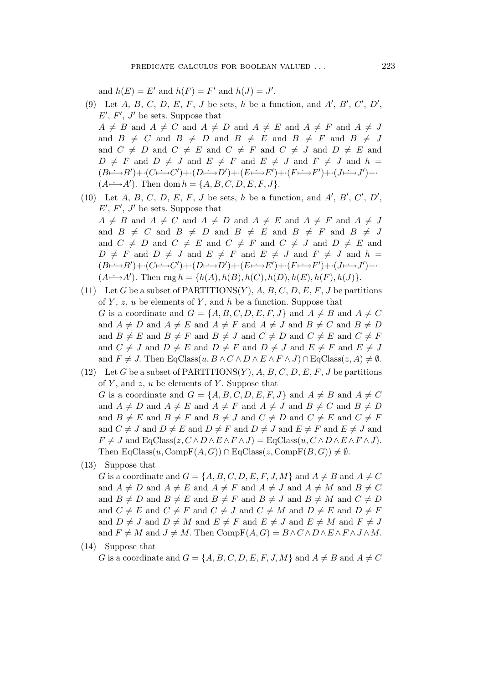and  $h(E) = E'$  and  $h(F) = F'$  and  $h(J) = J'$ .

(9) Let A, B, C, D, E, F, J be sets, h be a function, and A', B', C', D',  $E', F', J'$  be sets. Suppose that

 $A \neq B$  and  $A \neq C$  and  $A \neq D$  and  $A \neq E$  and  $A \neq F$  and  $A \neq J$ and  $B \neq C$  and  $B \neq D$  and  $B \neq E$  and  $B \neq F$  and  $B \neq J$ and  $C \neq D$  and  $C \neq E$  and  $C \neq F$  and  $C \neq J$  and  $D \neq E$  and  $D \neq F$  and  $D \neq J$  and  $E \neq F$  and  $E \neq J$  and  $F \neq J$  and  $h =$  $(B \xrightarrow{f} B') + (C \xrightarrow{f} C') + (D \xrightarrow{f} D') + (E \xrightarrow{f} E') + (F \xrightarrow{f} F') + (J \xrightarrow{f} J') +$  $(A \rightarrowtail A')$ . Then dom  $h = \{A, B, C, D, E, F, J\}.$ 

- (10) Let  $A, B, C, D, E, F, J$  be sets, h be a function, and  $A', B', C', D',$  $E', F', J'$  be sets. Suppose that  $A \neq B$  and  $A \neq C$  and  $A \neq D$  and  $A \neq E$  and  $A \neq F$  and  $A \neq J$ and  $B \neq C$  and  $B \neq D$  and  $B \neq E$  and  $B \neq F$  and  $B \neq J$ and  $C \neq D$  and  $C \neq E$  and  $C \neq F$  and  $C \neq J$  and  $D \neq E$  and  $D \neq F$  and  $D \neq J$  and  $E \neq F$  and  $E \neq J$  and  $F \neq J$  and  $h =$  $(B \xrightarrow{f} B') + (C \xrightarrow{f} C') + (D \xrightarrow{f} D') + (E \xrightarrow{f} E') + (F \xrightarrow{f} F') + (J \xrightarrow{f} J') +$  $(A \rightarrowtail A')$ . Then rng  $h = \{h(A), h(B), h(C), h(D), h(E), h(F), h(J)\}.$
- (11) Let G be a subset of PARTITIONS $(Y)$ , A, B, C, D, E, F, J be partitions of  $Y, z, u$  be elements of  $Y$ , and  $h$  be a function. Suppose that G is a coordinate and  $G = \{A, B, C, D, E, F, J\}$  and  $A \neq B$  and  $A \neq C$ and  $A \neq D$  and  $A \neq E$  and  $A \neq F$  and  $A \neq J$  and  $B \neq C$  and  $B \neq D$ and  $B \neq E$  and  $B \neq F$  and  $B \neq J$  and  $C \neq D$  and  $C \neq E$  and  $C \neq F$ and  $C \neq J$  and  $D \neq E$  and  $D \neq F$  and  $D \neq J$  and  $E \neq F$  and  $E \neq J$ and  $F \neq J$ . Then EqClass $(u, B \wedge C \wedge D \wedge E \wedge F \wedge J) \cap$  EqClass $(z, A) \neq \emptyset$ .
- (12) Let G be a subset of PARTITIONS $(Y)$ , A, B, C, D, E, F, J be partitions of  $Y$ , and  $z$ ,  $u$  be elements of  $Y$ . Suppose that G is a coordinate and  $G = \{A, B, C, D, E, F, J\}$  and  $A \neq B$  and  $A \neq C$ and  $A \neq D$  and  $A \neq E$  and  $A \neq F$  and  $A \neq J$  and  $B \neq C$  and  $B \neq D$ and  $B \neq E$  and  $B \neq F$  and  $B \neq J$  and  $C \neq D$  and  $C \neq E$  and  $C \neq F$ and  $C \neq J$  and  $D \neq E$  and  $D \neq F$  and  $D \neq J$  and  $E \neq F$  and  $E \neq J$  and  $F \neq J$  and  $EqClass(z, C \wedge D \wedge E \wedge F \wedge J) = EqClass(u, C \wedge D \wedge E \wedge F \wedge J).$ Then  $EqClass(u, CompF(A, G)) \cap EqClass(z, CompF(B, G)) \neq \emptyset$ .
- (13) Suppose that

G is a coordinate and  $G = \{A, B, C, D, E, F, J, M\}$  and  $A \neq B$  and  $A \neq C$ and  $A \neq D$  and  $A \neq E$  and  $A \neq F$  and  $A \neq J$  and  $A \neq M$  and  $B \neq C$ and  $B \neq D$  and  $B \neq E$  and  $B \neq F$  and  $B \neq J$  and  $B \neq M$  and  $C \neq D$ and  $C \neq E$  and  $C \neq F$  and  $C \neq J$  and  $C \neq M$  and  $D \neq E$  and  $D \neq F$ and  $D \neq J$  and  $D \neq M$  and  $E \neq F$  and  $E \neq J$  and  $E \neq M$  and  $F \neq J$ and  $F \neq M$  and  $J \neq M$ . Then Comp $F(A, G) = B \wedge C \wedge D \wedge E \wedge F \wedge J \wedge M$ .

(14) Suppose that

G is a coordinate and  $G = \{A, B, C, D, E, F, J, M\}$  and  $A \neq B$  and  $A \neq C$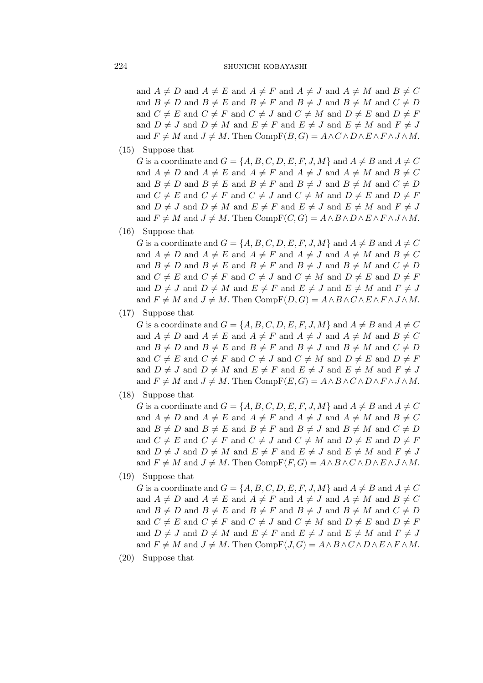and  $A \neq D$  and  $A \neq E$  and  $A \neq F$  and  $A \neq J$  and  $A \neq M$  and  $B \neq C$ and  $B \neq D$  and  $B \neq E$  and  $B \neq F$  and  $B \neq J$  and  $B \neq M$  and  $C \neq D$ and  $C \neq E$  and  $C \neq F$  and  $C \neq J$  and  $C \neq M$  and  $D \neq E$  and  $D \neq F$ and  $D \neq J$  and  $D \neq M$  and  $E \neq F$  and  $E \neq J$  and  $E \neq M$  and  $F \neq J$ and  $F \neq M$  and  $J \neq M$ . Then Comp $F(B, G) = A \wedge C \wedge D \wedge E \wedge F \wedge J \wedge M$ .

 $(15)$  Suppose that

G is a coordinate and  $G = \{A, B, C, D, E, F, J, M\}$  and  $A \neq B$  and  $A \neq C$ and  $A \neq D$  and  $A \neq E$  and  $A \neq F$  and  $A \neq J$  and  $A \neq M$  and  $B \neq C$ and  $B \neq D$  and  $B \neq E$  and  $B \neq F$  and  $B \neq J$  and  $B \neq M$  and  $C \neq D$ and  $C \neq E$  and  $C \neq F$  and  $C \neq J$  and  $C \neq M$  and  $D \neq E$  and  $D \neq F$ and  $D \neq J$  and  $D \neq M$  and  $E \neq F$  and  $E \neq J$  and  $E \neq M$  and  $F \neq J$ and  $F \neq M$  and  $J \neq M$ . Then Comp $F(C, G) = A \wedge B \wedge D \wedge E \wedge F \wedge J \wedge M$ .

 $(16)$  Suppose that

G is a coordinate and  $G = \{A, B, C, D, E, F, J, M\}$  and  $A \neq B$  and  $A \neq C$ and  $A \neq D$  and  $A \neq E$  and  $A \neq F$  and  $A \neq J$  and  $A \neq M$  and  $B \neq C$ and  $B \neq D$  and  $B \neq E$  and  $B \neq F$  and  $B \neq J$  and  $B \neq M$  and  $C \neq D$ and  $C \neq E$  and  $C \neq F$  and  $C \neq J$  and  $C \neq M$  and  $D \neq E$  and  $D \neq F$ and  $D \neq J$  and  $D \neq M$  and  $E \neq F$  and  $E \neq J$  and  $E \neq M$  and  $F \neq J$ and  $F \neq M$  and  $J \neq M$ . Then Comp $F(D, G) = A \wedge B \wedge C \wedge E \wedge F \wedge J \wedge M$ .

 $(17)$  Suppose that

G is a coordinate and  $G = \{A, B, C, D, E, F, J, M\}$  and  $A \neq B$  and  $A \neq C$ and  $A \neq D$  and  $A \neq E$  and  $A \neq F$  and  $A \neq J$  and  $A \neq M$  and  $B \neq C$ and  $B \neq D$  and  $B \neq E$  and  $B \neq F$  and  $B \neq J$  and  $B \neq M$  and  $C \neq D$ and  $C \neq E$  and  $C \neq F$  and  $C \neq J$  and  $C \neq M$  and  $D \neq E$  and  $D \neq F$ and  $D \neq J$  and  $D \neq M$  and  $E \neq F$  and  $E \neq J$  and  $E \neq M$  and  $F \neq J$ and  $F \neq M$  and  $J \neq M$ . Then Comp $F(E, G) = A \wedge B \wedge C \wedge D \wedge F \wedge J \wedge M$ .

- $(18)$  Suppose that
	- G is a coordinate and  $G = \{A, B, C, D, E, F, J, M\}$  and  $A \neq B$  and  $A \neq C$ and  $A \neq D$  and  $A \neq E$  and  $A \neq F$  and  $A \neq J$  and  $A \neq M$  and  $B \neq C$ and  $B \neq D$  and  $B \neq E$  and  $B \neq F$  and  $B \neq J$  and  $B \neq M$  and  $C \neq D$ and  $C \neq E$  and  $C \neq F$  and  $C \neq J$  and  $C \neq M$  and  $D \neq E$  and  $D \neq F$ and  $D \neq J$  and  $D \neq M$  and  $E \neq F$  and  $E \neq J$  and  $E \neq M$  and  $F \neq J$ and  $F \neq M$  and  $J \neq M$ . Then Comp $F(F, G) = A \wedge B \wedge C \wedge D \wedge E \wedge J \wedge M$ .
- $(19)$  Suppose that

G is a coordinate and  $G = \{A, B, C, D, E, F, J, M\}$  and  $A \neq B$  and  $A \neq C$ and  $A \neq D$  and  $A \neq E$  and  $A \neq F$  and  $A \neq J$  and  $A \neq M$  and  $B \neq C$ and  $B \neq D$  and  $B \neq E$  and  $B \neq F$  and  $B \neq J$  and  $B \neq M$  and  $C \neq D$ and  $C \neq E$  and  $C \neq F$  and  $C \neq J$  and  $C \neq M$  and  $D \neq E$  and  $D \neq F$ and  $D \neq J$  and  $D \neq M$  and  $E \neq F$  and  $E \neq J$  and  $E \neq M$  and  $F \neq J$ and  $F \neq M$  and  $J \neq M$ . Then Comp $F(J, G) = A \wedge B \wedge C \wedge D \wedge E \wedge F \wedge M$ .

 $(20)$  Suppose that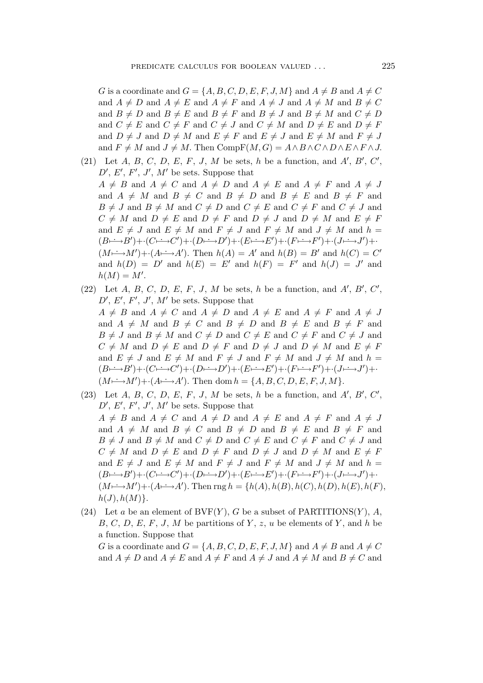G is a coordinate and  $G = \{A, B, C, D, E, F, J, M\}$  and  $A \neq B$  and  $A \neq C$ and  $A \neq D$  and  $A \neq E$  and  $A \neq F$  and  $A \neq J$  and  $A \neq M$  and  $B \neq C$ and  $B \neq D$  and  $B \neq E$  and  $B \neq F$  and  $B \neq J$  and  $B \neq M$  and  $C \neq D$ and  $C \neq E$  and  $C \neq F$  and  $C \neq J$  and  $C \neq M$  and  $D \neq E$  and  $D \neq F$ and  $D \neq J$  and  $D \neq M$  and  $E \neq F$  and  $E \neq J$  and  $E \neq M$  and  $F \neq J$ and  $F \neq M$  and  $J \neq M$ . Then Comp $F(M, G) = A \wedge B \wedge C \wedge D \wedge E \wedge F \wedge J$ .

- (21) Let A, B, C, D, E, F, J, M be sets, h be a function, and  $A'$ , B', C',  $D', E', F', J', M'$  be sets. Suppose that  $A \neq B$  and  $A \neq C$  and  $A \neq D$  and  $A \neq E$  and  $A \neq F$  and  $A \neq J$ and  $A \neq M$  and  $B \neq C$  and  $B \neq D$  and  $B \neq E$  and  $B \neq F$  and  $B \neq J$  and  $B \neq M$  and  $C \neq D$  and  $C \neq E$  and  $C \neq F$  and  $C \neq J$  and  $C \neq M$  and  $D \neq E$  and  $D \neq F$  and  $D \neq J$  and  $D \neq M$  and  $E \neq F$ and  $E \neq J$  and  $E \neq M$  and  $F \neq J$  and  $F \neq M$  and  $J \neq M$  and  $h =$  $(B \rightarrowtail B') + (C \rightarrowtail C') + (D \rightarrowtail D') + (E \rightarrowtail E') + (F \rightarrowtail F') + (J \rightarrowtail J') + \cdot$  $(M \rightarrow M') + (A \rightarrow A')$ . Then  $h(A) = A'$  and  $h(B) = B'$  and  $h(C) = C'$ and  $h(D) = D'$  and  $h(E) = E'$  and  $h(F) = F'$  and  $h(J) = J'$  and  $h(M) = M'$ .
- (22) Let A, B, C, D, E, F, J, M be sets, h be a function, and  $A'$ , B', C',  $D', E', F', J', M'$  be sets. Suppose that  $A \neq B$  and  $A \neq C$  and  $A \neq D$  and  $A \neq E$  and  $A \neq F$  and  $A \neq J$ and  $A \neq M$  and  $B \neq C$  and  $B \neq D$  and  $B \neq E$  and  $B \neq F$  and  $B \neq J$  and  $B \neq M$  and  $C \neq D$  and  $C \neq E$  and  $C \neq F$  and  $C \neq J$  and  $C \neq M$  and  $D \neq E$  and  $D \neq F$  and  $D \neq J$  and  $D \neq M$  and  $E \neq F$ and  $E \neq J$  and  $E \neq M$  and  $F \neq J$  and  $F \neq M$  and  $J \neq M$  and  $h =$  $(B \mapsto B') + (C \mapsto C') + (D \mapsto D') + (E \mapsto E') + (F \mapsto F') + (J \mapsto J') + \cdots$  $(M \rightarrow M') + (A \rightarrow A')$ . Then dom  $h = \{A, B, C, D, E, F, J, M\}$ .
- (23) Let A, B, C, D, E, F, J, M be sets, h be a function, and  $A'$ , B', C',  $D', E', F', J', M'$  be sets. Suppose that  $A \neq B$  and  $A \neq C$  and  $A \neq D$  and  $A \neq E$  and  $A \neq F$  and  $A \neq J$ and  $A \neq M$  and  $B \neq C$  and  $B \neq D$  and  $B \neq E$  and  $B \neq F$  and  $B \neq J$  and  $B \neq M$  and  $C \neq D$  and  $C \neq E$  and  $C \neq F$  and  $C \neq J$  and  $C \neq M$  and  $D \neq E$  and  $D \neq F$  and  $D \neq J$  and  $D \neq M$  and  $E \neq F$ and  $E \neq J$  and  $E \neq M$  and  $F \neq J$  and  $F \neq M$  and  $J \neq M$  and  $h =$  $(B \rightarrowtail B') + (C \rightarrowtail C') + (D \rightarrowtail D') + (E \rightarrowtail E') + (F \rightarrowtail F') + (J \rightarrowtail J') + \cdots$  $(M \rightarrow M') + (A \rightarrow A')$ . Then rng  $h = \{h(A), h(B), h(C), h(D), h(E), h(F), h(F)\}$  $h(J), h(M)$ .
- (24) Let a be an element of  $BVF(Y)$ , G be a subset of PARTITIONS(Y), A,  $B, C, D, E, F, J, M$  be partitions of Y, z, u be elements of Y, and h be a function. Suppose that G is a coordinate and  $G = \{A, B, C, D, E, F, J, M\}$  and  $A \neq B$  and  $A \neq C$

and  $A \neq D$  and  $A \neq E$  and  $A \neq F$  and  $A \neq J$  and  $A \neq M$  and  $B \neq C$  and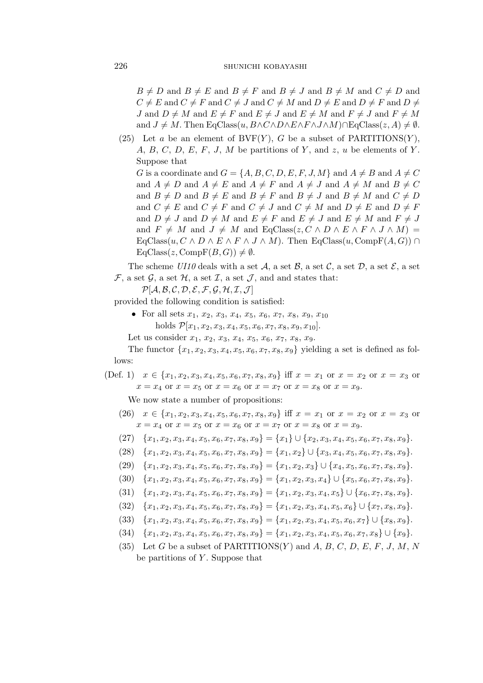$B \neq D$  and  $B \neq E$  and  $B \neq F$  and  $B \neq J$  and  $B \neq M$  and  $C \neq D$  and  $C \neq E$  and  $C \neq F$  and  $C \neq J$  and  $C \neq M$  and  $D \neq E$  and  $D \neq F$  and  $D \neq F$ J and  $D \neq M$  and  $E \neq F$  and  $E \neq J$  and  $E \neq M$  and  $F \neq J$  and  $F \neq M$ and  $J \neq M$ . Then EqClass $(u, B \land C \land D \land E \land F \land J \land M) \cap EqCl$  ass $(z, A) \neq \emptyset$ .

(25) Let a be an element of  $BVF(Y)$ , G be a subset of PARTITIONS(Y), A, B, C, D, E, F, J, M be partitions of Y, and  $z$ , u be elements of Y. Suppose that G is a coordinate and  $G = \{A, B, C, D, E, F, J, M\}$  and  $A \neq B$  and  $A \neq C$ and  $A \neq D$  and  $A \neq E$  and  $A \neq F$  and  $A \neq J$  and  $A \neq M$  and  $B \neq C$ and  $B \neq D$  and  $B \neq E$  and  $B \neq F$  and  $B \neq J$  and  $B \neq M$  and  $C \neq D$ and  $C \neq E$  and  $C \neq F$  and  $C \neq J$  and  $C \neq M$  and  $D \neq E$  and  $D \neq F$ and  $D \neq J$  and  $D \neq M$  and  $E \neq F$  and  $E \neq J$  and  $E \neq M$  and  $F \neq J$ and  $F \neq M$  and  $J \neq M$  and EqClass( $z, C \wedge D \wedge E \wedge F \wedge J \wedge M$ ) =  $EqClass(u, C \wedge D \wedge E \wedge F \wedge J \wedge M)$ . Then  $EqClass(u, CompF(A, G)) \cap$  $EqClass(z, CompF(B, G)) \neq \emptyset.$ 

The scheme *UI10* deals with a set  $A$ , a set  $B$ , a set  $C$ , a set  $D$ , a set  $E$ , a set  $\mathcal{F}$ , a set  $\mathcal{G}$ , a set  $\mathcal{H}$ , a set  $\mathcal{I}$ , a set  $\mathcal{J}$ , and and states that:

*P*[*A*, *B*, *C*, *D*, *E*, *F*, *G*, *H*, *I*,*J* ]

provided the following condition is satisfied:

- For all sets  $x_1, x_2, x_3, x_4, x_5, x_6, x_7, x_8, x_9, x_{10}$ holds  $\mathcal{P}[x_1,x_2,x_3,x_4,x_5,x_6,x_7,x_8,x_9,x_{10}].$
- Let us consider  $x_1, x_2, x_3, x_4, x_5, x_6, x_7, x_8, x_9.$

The functor  $\{x_1, x_2, x_3, x_4, x_5, x_6, x_7, x_8, x_9\}$  yielding a set is defined as follows:

(Def. 1)  $x \in \{x_1, x_2, x_3, x_4, x_5, x_6, x_7, x_8, x_9\}$  iff  $x = x_1$  or  $x = x_2$  or  $x = x_3$  or  $x = x_4$  or  $x = x_5$  or  $x = x_6$  or  $x = x_7$  or  $x = x_8$  or  $x = x_9$ .

We now state a number of propositions:

- (26)  $x \in \{x_1, x_2, x_3, x_4, x_5, x_6, x_7, x_8, x_9\}$  iff  $x = x_1$  or  $x = x_2$  or  $x = x_3$  or  $x = x_4$  or  $x = x_5$  or  $x = x_6$  or  $x = x_7$  or  $x = x_8$  or  $x = x_9$ .
- $(27)$   $\{x_1, x_2, x_3, x_4, x_5, x_6, x_7, x_8, x_9\} = \{x_1\} \cup \{x_2, x_3, x_4, x_5, x_6, x_7, x_8, x_9\}.$
- $(28)$  { $x_1, x_2, x_3, x_4, x_5, x_6, x_7, x_8, x_9$ } = { $x_1, x_2$ }  $\cup$  { $x_3, x_4, x_5, x_6, x_7, x_8, x_9$  }.
- $(29)$   $\{x_1, x_2, x_3, x_4, x_5, x_6, x_7, x_8, x_9\} = \{x_1, x_2, x_3\} \cup \{x_4, x_5, x_6, x_7, x_8, x_9\}.$
- (30)  ${x_1, x_2, x_3, x_4, x_5, x_6, x_7, x_8, x_9} = {x_1, x_2, x_3, x_4} \cup {x_5, x_6, x_7, x_8, x_9}.$
- $(31)$   $\{x_1, x_2, x_3, x_4, x_5, x_6, x_7, x_8, x_9\} = \{x_1, x_2, x_3, x_4, x_5\} \cup \{x_6, x_7, x_8, x_9\}.$
- $(32) \quad \{x_1, x_2, x_3, x_4, x_5, x_6, x_7, x_8, x_9\} = \{x_1, x_2, x_3, x_4, x_5, x_6\} \cup \{x_7, x_8, x_9\}.$
- $(33) \{x_1, x_2, x_3, x_4, x_5, x_6, x_7, x_8, x_9\} = \{x_1, x_2, x_3, x_4, x_5, x_6, x_7\} \cup \{x_8, x_9\}.$
- $(34) \{x_1, x_2, x_3, x_4, x_5, x_6, x_7, x_8, x_9\} = \{x_1, x_2, x_3, x_4, x_5, x_6, x_7, x_8\} \cup \{x_9\}.$
- (35) Let G be a subset of PARTITIONS(Y) and A, B, C, D, E, F, J, M, N be partitions of  $Y$ . Suppose that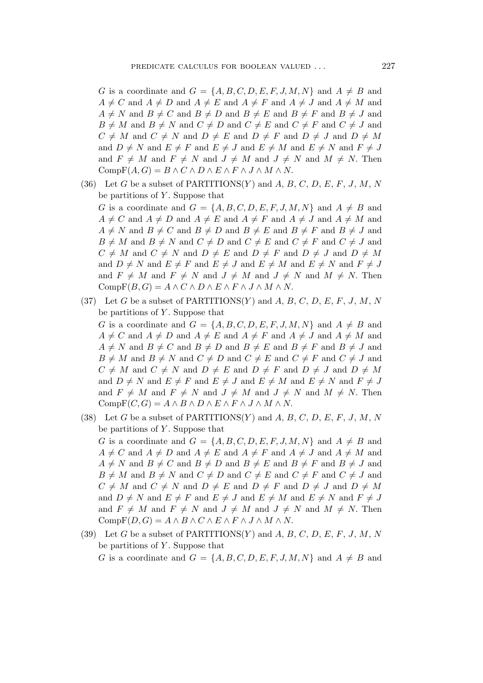G is a coordinate and  $G = \{A, B, C, D, E, F, J, M, N\}$  and  $A \neq B$  and  $A \neq C$  and  $A \neq D$  and  $A \neq E$  and  $A \neq F$  and  $A \neq J$  and  $A \neq M$  and  $A \neq N$  and  $B \neq C$  and  $B \neq D$  and  $B \neq E$  and  $B \neq F$  and  $B \neq J$  and  $B \neq M$  and  $B \neq N$  and  $C \neq D$  and  $C \neq E$  and  $C \neq F$  and  $C \neq J$  and  $C \neq M$  and  $C \neq N$  and  $D \neq E$  and  $D \neq F$  and  $D \neq J$  and  $D \neq M$ and  $D \neq N$  and  $E \neq F$  and  $E \neq J$  and  $E \neq M$  and  $E \neq N$  and  $F \neq J$ and  $F \neq M$  and  $F \neq N$  and  $J \neq M$  and  $J \neq N$  and  $M \neq N$ . Then Comp $F(A, G) = B \wedge C \wedge D \wedge E \wedge F \wedge J \wedge M \wedge N$ .

- (36) Let G be a subset of PARTITIONS(Y) and A, B, C, D, E, F, J, M, N be partitions of  $Y$ . Suppose that G is a coordinate and  $G = \{A, B, C, D, E, F, J, M, N\}$  and  $A \neq B$  and  $A \neq C$  and  $A \neq D$  and  $A \neq E$  and  $A \neq F$  and  $A \neq J$  and  $A \neq M$  and  $A \neq N$  and  $B \neq C$  and  $B \neq D$  and  $B \neq E$  and  $B \neq F$  and  $B \neq J$  and  $B \neq M$  and  $B \neq N$  and  $C \neq D$  and  $C \neq E$  and  $C \neq F$  and  $C \neq J$  and  $C \neq M$  and  $C \neq N$  and  $D \neq E$  and  $D \neq F$  and  $D \neq J$  and  $D \neq M$ and  $D \neq N$  and  $E \neq F$  and  $E \neq J$  and  $E \neq M$  and  $E \neq N$  and  $F \neq J$ and  $F \neq M$  and  $F \neq N$  and  $J \neq M$  and  $J \neq N$  and  $M \neq N$ . Then Comp $F(B, G) = A \wedge C \wedge D \wedge E \wedge F \wedge J \wedge M \wedge N$ .
- (37) Let G be a subset of PARTITIONS(Y) and A, B, C, D, E, F, J, M, N be partitions of  $Y$ . Suppose that G is a coordinate and  $G = \{A, B, C, D, E, F, J, M, N\}$  and  $A \neq B$  and  $A \neq C$  and  $A \neq D$  and  $A \neq E$  and  $A \neq F$  and  $A \neq J$  and  $A \neq M$  and  $A \neq N$  and  $B \neq C$  and  $B \neq D$  and  $B \neq E$  and  $B \neq F$  and  $B \neq J$  and  $B \neq M$  and  $B \neq N$  and  $C \neq D$  and  $C \neq E$  and  $C \neq F$  and  $C \neq J$  and  $C \neq M$  and  $C \neq N$  and  $D \neq E$  and  $D \neq F$  and  $D \neq J$  and  $D \neq M$ and  $D \neq N$  and  $E \neq F$  and  $E \neq J$  and  $E \neq M$  and  $E \neq N$  and  $F \neq J$ and  $F \neq M$  and  $F \neq N$  and  $J \neq M$  and  $J \neq N$  and  $M \neq N$ . Then  $CompF(C, G) = A \wedge B \wedge D \wedge E \wedge F \wedge J \wedge M \wedge N.$
- (38) Let G be a subset of PARTITIONS(Y) and A, B, C, D, E, F, J, M, N be partitions of  $Y$ . Suppose that G is a coordinate and  $G = \{A, B, C, D, E, F, J, M, N\}$  and  $A \neq B$  and  $A \neq C$  and  $A \neq D$  and  $A \neq E$  and  $A \neq F$  and  $A \neq J$  and  $A \neq M$  and  $A \neq N$  and  $B \neq C$  and  $B \neq D$  and  $B \neq E$  and  $B \neq F$  and  $B \neq J$  and  $B \neq M$  and  $B \neq N$  and  $C \neq D$  and  $C \neq E$  and  $C \neq F$  and  $C \neq J$  and  $C \neq M$  and  $C \neq N$  and  $D \neq E$  and  $D \neq F$  and  $D \neq J$  and  $D \neq M$ and  $D \neq N$  and  $E \neq F$  and  $E \neq J$  and  $E \neq M$  and  $E \neq N$  and  $F \neq J$ and  $F \neq M$  and  $F \neq N$  and  $J \neq M$  and  $J \neq N$  and  $M \neq N$ . Then  $CompF(D, G) = A \wedge B \wedge C \wedge E \wedge F \wedge J \wedge M \wedge N.$
- (39) Let G be a subset of PARTITIONS(Y) and A, B, C, D, E, F, J, M, N be partitions of  $Y$ . Suppose that G is a coordinate and  $G = \{A, B, C, D, E, F, J, M, N\}$  and  $A \neq B$  and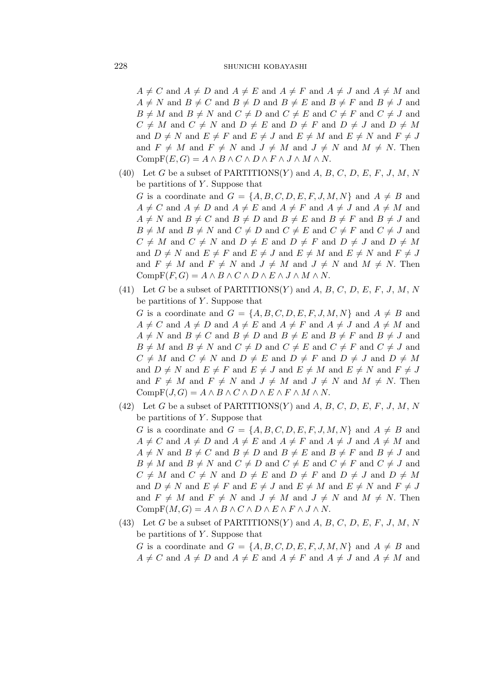$A \neq C$  and  $A \neq D$  and  $A \neq E$  and  $A \neq F$  and  $A \neq J$  and  $A \neq M$  and  $A \neq N$  and  $B \neq C$  and  $B \neq D$  and  $B \neq E$  and  $B \neq F$  and  $B \neq J$  and  $B \neq M$  and  $B \neq N$  and  $C \neq D$  and  $C \neq E$  and  $C \neq F$  and  $C \neq J$  and  $C \neq M$  and  $C \neq N$  and  $D \neq E$  and  $D \neq F$  and  $D \neq J$  and  $D \neq M$ and  $D \neq N$  and  $E \neq F$  and  $E \neq J$  and  $E \neq M$  and  $E \neq N$  and  $F \neq J$ and  $F \neq M$  and  $F \neq N$  and  $J \neq M$  and  $J \neq N$  and  $M \neq N$ . Then  $CompF(E, G) = A \wedge B \wedge C \wedge D \wedge F \wedge J \wedge M \wedge N.$ 

- (40) Let G be a subset of PARTITIONS(Y) and A, B, C, D, E, F, J, M, N be partitions of  $Y$ . Suppose that G is a coordinate and  $G = \{A, B, C, D, E, F, J, M, N\}$  and  $A \neq B$  and  $A \neq C$  and  $A \neq D$  and  $A \neq E$  and  $A \neq F$  and  $A \neq J$  and  $A \neq M$  and  $A \neq N$  and  $B \neq C$  and  $B \neq D$  and  $B \neq E$  and  $B \neq F$  and  $B \neq J$  and  $B \neq M$  and  $B \neq N$  and  $C \neq D$  and  $C \neq E$  and  $C \neq F$  and  $C \neq J$  and  $C \neq M$  and  $C \neq N$  and  $D \neq E$  and  $D \neq F$  and  $D \neq J$  and  $D \neq M$ and  $D \neq N$  and  $E \neq F$  and  $E \neq J$  and  $E \neq M$  and  $E \neq N$  and  $F \neq J$ and  $F \neq M$  and  $F \neq N$  and  $J \neq M$  and  $J \neq N$  and  $M \neq N$ . Then  $\text{CompF}(F,G) = A \wedge B \wedge C \wedge D \wedge E \wedge J \wedge M \wedge N.$
- (41) Let G be a subset of PARTITIONS(Y) and A, B, C, D, E, F, J, M, N be partitions of  $Y$ . Suppose that G is a coordinate and  $G = \{A, B, C, D, E, F, J, M, N\}$  and  $A \neq B$  and  $A \neq C$  and  $A \neq D$  and  $A \neq E$  and  $A \neq F$  and  $A \neq J$  and  $A \neq M$  and  $A \neq N$  and  $B \neq C$  and  $B \neq D$  and  $B \neq E$  and  $B \neq F$  and  $B \neq J$  and  $B \neq M$  and  $B \neq N$  and  $C \neq D$  and  $C \neq E$  and  $C \neq F$  and  $C \neq J$  and  $C \neq M$  and  $C \neq N$  and  $D \neq E$  and  $D \neq F$  and  $D \neq J$  and  $D \neq M$ and  $D \neq N$  and  $E \neq F$  and  $E \neq J$  and  $E \neq M$  and  $E \neq N$  and  $F \neq J$ and  $F \neq M$  and  $F \neq N$  and  $J \neq M$  and  $J \neq N$  and  $M \neq N$ . Then  $\mathrm{CompF}(J,G) = A \wedge B \wedge C \wedge D \wedge E \wedge F \wedge M \wedge N.$
- (42) Let G be a subset of PARTITIONS(Y) and A, B, C, D, E, F, J, M, N be partitions of  $Y$ . Suppose that G is a coordinate and  $G = \{A, B, C, D, E, F, J, M, N\}$  and  $A \neq B$  and  $A \neq C$  and  $A \neq D$  and  $A \neq E$  and  $A \neq F$  and  $A \neq J$  and  $A \neq M$  and  $A \neq N$  and  $B \neq C$  and  $B \neq D$  and  $B \neq E$  and  $B \neq F$  and  $B \neq J$  and  $B \neq M$  and  $B \neq N$  and  $C \neq D$  and  $C \neq E$  and  $C \neq F$  and  $C \neq J$  and  $C \neq M$  and  $C \neq N$  and  $D \neq E$  and  $D \neq F$  and  $D \neq J$  and  $D \neq M$ and  $D \neq N$  and  $E \neq F$  and  $E \neq J$  and  $E \neq M$  and  $E \neq N$  and  $F \neq J$ and  $F \neq M$  and  $F \neq N$  and  $J \neq M$  and  $J \neq N$  and  $M \neq N$ . Then Comp $F(M, G) = A \wedge B \wedge C \wedge D \wedge E \wedge F \wedge J \wedge N$ .
- (43) Let G be a subset of PARTITIONS(Y) and A, B, C, D, E, F, J, M, N be partitions of  $Y$ . Suppose that

G is a coordinate and  $G = \{A, B, C, D, E, F, J, M, N\}$  and  $A \neq B$  and  $A \neq C$  and  $A \neq D$  and  $A \neq E$  and  $A \neq F$  and  $A \neq J$  and  $A \neq M$  and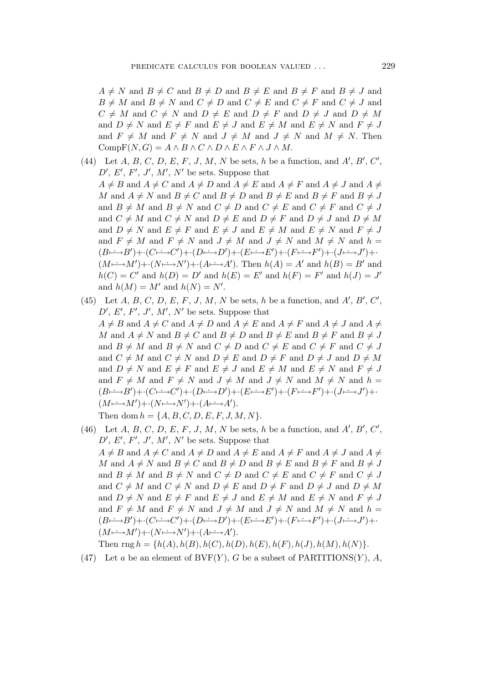$A \neq N$  and  $B \neq C$  and  $B \neq D$  and  $B \neq E$  and  $B \neq F$  and  $B \neq J$  and  $B \neq M$  and  $B \neq N$  and  $C \neq D$  and  $C \neq E$  and  $C \neq F$  and  $C \neq J$  and  $C \neq M$  and  $C \neq N$  and  $D \neq E$  and  $D \neq F$  and  $D \neq J$  and  $D \neq M$ and  $D \neq N$  and  $E \neq F$  and  $E \neq J$  and  $E \neq M$  and  $E \neq N$  and  $F \neq J$ and  $F \neq M$  and  $F \neq N$  and  $J \neq M$  and  $J \neq N$  and  $M \neq N$ . Then  $CompF(N, G) = A \wedge B \wedge C \wedge D \wedge E \wedge F \wedge J \wedge M$ .

- (44) Let  $A, B, C, D, E, F, J, M, N$  be sets, h be a function, and  $A', B', C',$  $D', E', F', J', M', N'$  be sets. Suppose that  $A \neq B$  and  $A \neq C$  and  $A \neq D$  and  $A \neq E$  and  $A \neq F$  and  $A \neq J$  and  $A \neq$ M and  $A \neq N$  and  $B \neq C$  and  $B \neq D$  and  $B \neq E$  and  $B \neq F$  and  $B \neq J$ and  $B \neq M$  and  $B \neq N$  and  $C \neq D$  and  $C \neq E$  and  $C \neq F$  and  $C \neq J$ and  $C \neq M$  and  $C \neq N$  and  $D \neq E$  and  $D \neq F$  and  $D \neq J$  and  $D \neq M$ and  $D \neq N$  and  $E \neq F$  and  $E \neq J$  and  $E \neq M$  and  $E \neq N$  and  $F \neq J$ and  $F \neq M$  and  $F \neq N$  and  $J \neq M$  and  $J \neq N$  and  $M \neq N$  and  $h =$  $(B \rightarrowtail B') + (C \rightarrowtail C') + (D \rightarrowtail D') + (E \rightarrowtail E') + (F \rightarrowtail F') + (J \rightarrowtail J') + \cdot$  $(M \rightarrow M') + (N \rightarrow N') + (A \rightarrow A')$ . Then  $h(A) = A'$  and  $h(B) = B'$  and  $h(C) = C'$  and  $h(D) = D'$  and  $h(E) = E'$  and  $h(F) = F'$  and  $h(J) = J'$ and  $h(M) = M'$  and  $h(N) = N'$ .
- (45) Let  $A, B, C, D, E, F, J, M, N$  be sets, h be a function, and  $A', B', C',$  $D', E', F', J', M', N'$  be sets. Suppose that  $A \neq B$  and  $A \neq C$  and  $A \neq D$  and  $A \neq E$  and  $A \neq F$  and  $A \neq J$  and  $A \neq$ M and  $A \neq N$  and  $B \neq C$  and  $B \neq D$  and  $B \neq E$  and  $B \neq F$  and  $B \neq J$ and  $B \neq M$  and  $B \neq N$  and  $C \neq D$  and  $C \neq E$  and  $C \neq F$  and  $C \neq J$ and  $C \neq M$  and  $C \neq N$  and  $D \neq E$  and  $D \neq F$  and  $D \neq J$  and  $D \neq M$ and  $D \neq N$  and  $E \neq F$  and  $E \neq J$  and  $E \neq M$  and  $E \neq N$  and  $F \neq J$ and  $F \neq M$  and  $F \neq N$  and  $J \neq M$  and  $J \neq N$  and  $M \neq N$  and  $h =$  $(B \rightarrow B') + (C \rightarrow C') + (D \rightarrow D') + (E \rightarrow E') + (F \rightarrow F') + (J \rightarrow J') +$ (M*7−→*. <sup>M</sup>*′* )+*·*(N*7−→*. <sup>N</sup>*′* )+*·*(A*7−→*. <sup>A</sup>*′* ). Then dom  $h = \{A, B, C, D, E, F, J, M, N\}.$
- (46) Let  $A, B, C, D, E, F, J, M, N$  be sets, h be a function, and  $A', B', C',$  $D', E', F', J', M', N'$  be sets. Suppose that  $A \neq B$  and  $A \neq C$  and  $A \neq D$  and  $A \neq E$  and  $A \neq F$  and  $A \neq J$  and  $A \neq$ M and  $A \neq N$  and  $B \neq C$  and  $B \neq D$  and  $B \neq E$  and  $B \neq F$  and  $B \neq J$ and  $B \neq M$  and  $B \neq N$  and  $C \neq D$  and  $C \neq E$  and  $C \neq F$  and  $C \neq J$ and  $C \neq M$  and  $C \neq N$  and  $D \neq E$  and  $D \neq F$  and  $D \neq J$  and  $D \neq M$ and  $D \neq N$  and  $E \neq F$  and  $E \neq J$  and  $E \neq M$  and  $E \neq N$  and  $F \neq J$ and  $F \neq M$  and  $F \neq N$  and  $J \neq M$  and  $J \neq N$  and  $M \neq N$  and  $h =$  $(B \mapsto B') + (C \mapsto C') + (D \mapsto D') + (E \mapsto E') + (F \mapsto F') + (J \mapsto J') + \cdots$ (M*7−→*. <sup>M</sup>*′* )+*·*(N*7−→*. <sup>N</sup>*′* )+*·*(A*7−→*. <sup>A</sup>*′* ).

Then  $\text{rng } h = \{h(A), h(B), h(C), h(D), h(E), h(F), h(J), h(M), h(N)\}.$ 

(47) Let a be an element of  $BVF(Y)$ , G be a subset of PARTITIONS(Y), A,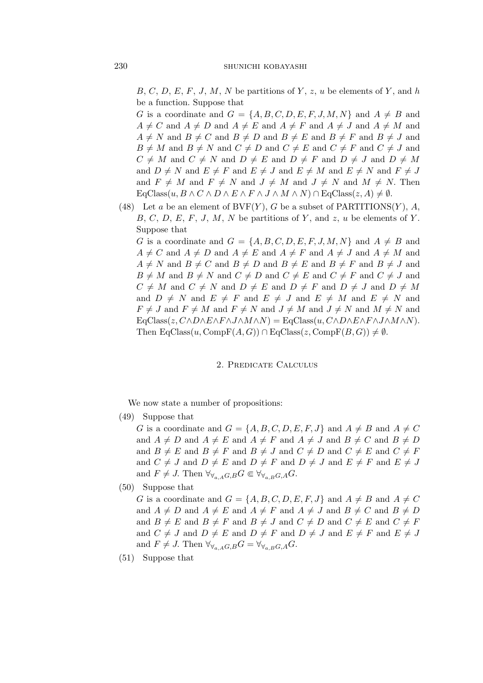$B, C, D, E, F, J, M, N$  be partitions of Y, z, u be elements of Y, and h be a function. Suppose that

G is a coordinate and  $G = \{A, B, C, D, E, F, J, M, N\}$  and  $A \neq B$  and  $A \neq C$  and  $A \neq D$  and  $A \neq E$  and  $A \neq F$  and  $A \neq J$  and  $A \neq M$  and  $A \neq N$  and  $B \neq C$  and  $B \neq D$  and  $B \neq E$  and  $B \neq F$  and  $B \neq J$  and  $B \neq M$  and  $B \neq N$  and  $C \neq D$  and  $C \neq E$  and  $C \neq F$  and  $C \neq J$  and  $C \neq M$  and  $C \neq N$  and  $D \neq E$  and  $D \neq F$  and  $D \neq J$  and  $D \neq M$ and  $D \neq N$  and  $E \neq F$  and  $E \neq J$  and  $E \neq M$  and  $E \neq N$  and  $F \neq J$ and  $F \neq M$  and  $F \neq N$  and  $J \neq M$  and  $J \neq N$  and  $M \neq N$ . Then  $\text{EqClass}(u, B \land C \land D \land E \land F \land J \land M \land N) \cap \text{EqClass}(z, A) \neq \emptyset.$ 

(48) Let a be an element of  $BVF(Y)$ , G be a subset of PARTITIONS $(Y)$ , A,  $B, C, D, E, F, J, M, N$  be partitions of Y, and z, u be elements of Y. Suppose that

G is a coordinate and  $G = \{A, B, C, D, E, F, J, M, N\}$  and  $A \neq B$  and  $A \neq C$  and  $A \neq D$  and  $A \neq E$  and  $A \neq F$  and  $A \neq J$  and  $A \neq M$  and  $A \neq N$  and  $B \neq C$  and  $B \neq D$  and  $B \neq E$  and  $B \neq F$  and  $B \neq J$  and  $B \neq M$  and  $B \neq N$  and  $C \neq D$  and  $C \neq E$  and  $C \neq F$  and  $C \neq J$  and  $C \neq M$  and  $C \neq N$  and  $D \neq E$  and  $D \neq F$  and  $D \neq J$  and  $D \neq M$ and  $D \neq N$  and  $E \neq F$  and  $E \neq J$  and  $E \neq M$  and  $E \neq N$  and  $F \neq J$  and  $F \neq M$  and  $F \neq N$  and  $J \neq M$  and  $J \neq N$  and  $M \neq N$  and  $EqClass(z, C \land D \land E \land F \land J \land M \land N) = EqClass(u, C \land D \land E \land F \land J \land M \land N).$ Then  $EqClass(u, CompF(A, G)) \cap EqClass(z, CompF(B, G)) \neq \emptyset$ .

## 2. Predicate Calculus

We now state a number of propositions:

(49) Suppose that

G is a coordinate and  $G = \{A, B, C, D, E, F, J\}$  and  $A \neq B$  and  $A \neq C$ and  $A \neq D$  and  $A \neq E$  and  $A \neq F$  and  $A \neq J$  and  $B \neq C$  and  $B \neq D$ and  $B \neq E$  and  $B \neq F$  and  $B \neq J$  and  $C \neq D$  and  $C \neq E$  and  $C \neq F$ and  $C \neq J$  and  $D \neq E$  and  $D \neq F$  and  $D \neq J$  and  $E \neq F$  and  $E \neq J$ and  $F \neq J$ . Then  $\forall \forall a \in A \subseteq G$ ,  $\forall \forall a \in B \subseteq A$ .

(50) Suppose that

G is a coordinate and  $G = \{A, B, C, D, E, F, J\}$  and  $A \neq B$  and  $A \neq C$ and  $A \neq D$  and  $A \neq E$  and  $A \neq F$  and  $A \neq J$  and  $B \neq C$  and  $B \neq D$ and  $B \neq E$  and  $B \neq F$  and  $B \neq J$  and  $C \neq D$  and  $C \neq E$  and  $C \neq F$ and  $C \neq J$  and  $D \neq E$  and  $D \neq F$  and  $D \neq J$  and  $E \neq F$  and  $E \neq J$ and  $F \neq J$ . Then  $\forall \forall_{a,A} G, B G = \forall \forall_{a,B} G, A G$ .

(51) Suppose that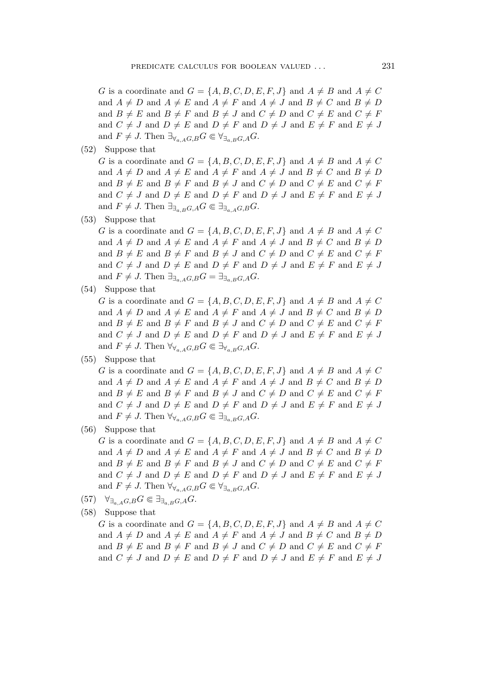G is a coordinate and  $G = \{A, B, C, D, E, F, J\}$  and  $A \neq B$  and  $A \neq C$ and  $A \neq D$  and  $A \neq E$  and  $A \neq F$  and  $A \neq J$  and  $B \neq C$  and  $B \neq D$ and  $B \neq E$  and  $B \neq F$  and  $B \neq J$  and  $C \neq D$  and  $C \neq E$  and  $C \neq F$ and  $C \neq J$  and  $D \neq E$  and  $D \neq F$  and  $D \neq J$  and  $E \neq F$  and  $E \neq J$ and  $F \neq J$ . Then  $\exists_{\forall_{a,A}G,B} G \in \forall_{\exists_{a,B}G,A} G$ .

(52) Suppose that

G is a coordinate and  $G = \{A, B, C, D, E, F, J\}$  and  $A \neq B$  and  $A \neq C$ and  $A \neq D$  and  $A \neq E$  and  $A \neq F$  and  $A \neq J$  and  $B \neq C$  and  $B \neq D$ and  $B \neq E$  and  $B \neq F$  and  $B \neq J$  and  $C \neq D$  and  $C \neq E$  and  $C \neq F$ and  $C \neq J$  and  $D \neq E$  and  $D \neq F$  and  $D \neq J$  and  $E \neq F$  and  $E \neq J$ and  $F \neq J$ . Then  $\exists_{\exists_{a,B}G,A}G \in \exists_{\exists_{a,A}G,B}G$ .

(53) Suppose that

G is a coordinate and  $G = \{A, B, C, D, E, F, J\}$  and  $A \neq B$  and  $A \neq C$ and  $A \neq D$  and  $A \neq E$  and  $A \neq F$  and  $A \neq J$  and  $B \neq C$  and  $B \neq D$ and  $B \neq E$  and  $B \neq F$  and  $B \neq J$  and  $C \neq D$  and  $C \neq E$  and  $C \neq F$ and  $C \neq J$  and  $D \neq E$  and  $D \neq F$  and  $D \neq J$  and  $E \neq F$  and  $E \neq J$ and  $F \neq J$ . Then  $\exists_{\exists_{a,A}G,B}G = \exists_{\exists_{a,B}G,A}G$ .

(54) Suppose that

G is a coordinate and  $G = \{A, B, C, D, E, F, J\}$  and  $A \neq B$  and  $A \neq C$ and  $A \neq D$  and  $A \neq E$  and  $A \neq F$  and  $A \neq J$  and  $B \neq C$  and  $B \neq D$ and  $B \neq E$  and  $B \neq F$  and  $B \neq J$  and  $C \neq D$  and  $C \neq E$  and  $C \neq F$ and  $C \neq J$  and  $D \neq E$  and  $D \neq F$  and  $D \neq J$  and  $E \neq F$  and  $E \neq J$ and  $F \neq J$ . Then  $\forall_{\forall_{a,A}G,B} G \in \exists_{\forall_{a,B}G,A} G$ .

(55) Suppose that

G is a coordinate and  $G = \{A, B, C, D, E, F, J\}$  and  $A \neq B$  and  $A \neq C$ and  $A \neq D$  and  $A \neq E$  and  $A \neq F$  and  $A \neq J$  and  $B \neq C$  and  $B \neq D$ and  $B \neq E$  and  $B \neq F$  and  $B \neq J$  and  $C \neq D$  and  $C \neq E$  and  $C \neq F$ and  $C \neq J$  and  $D \neq E$  and  $D \neq F$  and  $D \neq J$  and  $E \neq F$  and  $E \neq J$ and  $F \neq J$ . Then  $\forall_{\forall_{a,A}G,B} G \in \exists_{\exists_{a,B}G,A} G$ .

(56) Suppose that

G is a coordinate and  $G = \{A, B, C, D, E, F, J\}$  and  $A \neq B$  and  $A \neq C$ and  $A \neq D$  and  $A \neq E$  and  $A \neq F$  and  $A \neq J$  and  $B \neq C$  and  $B \neq D$ and  $B \neq E$  and  $B \neq F$  and  $B \neq J$  and  $C \neq D$  and  $C \neq E$  and  $C \neq F$ and  $C \neq J$  and  $D \neq E$  and  $D \neq F$  and  $D \neq J$  and  $E \neq F$  and  $E \neq J$ and  $F \neq J$ . Then  $\forall_{\forall_{a,A}G,B} G \in \forall_{\exists_{a,B}G,A} G$ .

 $(57)$   $\forall_{\exists_{a,A}G,B} G \in \exists_{\exists_{a,B}G,A} G.$ 

(58) Suppose that

G is a coordinate and  $G = \{A, B, C, D, E, F, J\}$  and  $A \neq B$  and  $A \neq C$ and  $A \neq D$  and  $A \neq E$  and  $A \neq F$  and  $A \neq J$  and  $B \neq C$  and  $B \neq D$ and  $B \neq E$  and  $B \neq F$  and  $B \neq J$  and  $C \neq D$  and  $C \neq E$  and  $C \neq F$ and  $C \neq J$  and  $D \neq E$  and  $D \neq F$  and  $D \neq J$  and  $E \neq F$  and  $E \neq J$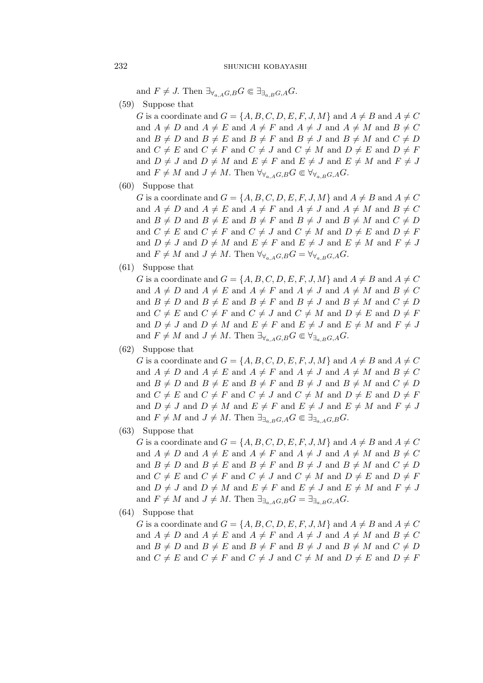and  $F \neq J$ . Then  $\exists_{\forall_{a,A}G,B} G \in \exists_{\exists_{a,B}G,A} G$ .

 $(59)$  Suppose that

G is a coordinate and  $G = \{A, B, C, D, E, F, J, M\}$  and  $A \neq B$  and  $A \neq C$ and  $A \neq D$  and  $A \neq E$  and  $A \neq F$  and  $A \neq J$  and  $A \neq M$  and  $B \neq C$ and  $B \neq D$  and  $B \neq E$  and  $B \neq F$  and  $B \neq J$  and  $B \neq M$  and  $C \neq D$ and  $C \neq E$  and  $C \neq F$  and  $C \neq J$  and  $C \neq M$  and  $D \neq E$  and  $D \neq F$ and  $D \neq J$  and  $D \neq M$  and  $E \neq F$  and  $E \neq J$  and  $E \neq M$  and  $F \neq J$ and  $F \neq M$  and  $J \neq M$ . Then  $\forall_{\forall_{a} A G, B} G \in \forall_{\forall_{a} B G, A} G$ .

 $(60)$  Suppose that

G is a coordinate and  $G = \{A, B, C, D, E, F, J, M\}$  and  $A \neq B$  and  $A \neq C$ and  $A \neq D$  and  $A \neq E$  and  $A \neq F$  and  $A \neq J$  and  $A \neq M$  and  $B \neq C$ and  $B \neq D$  and  $B \neq E$  and  $B \neq F$  and  $B \neq J$  and  $B \neq M$  and  $C \neq D$ and  $C \neq E$  and  $C \neq F$  and  $C \neq J$  and  $C \neq M$  and  $D \neq E$  and  $D \neq F$ and  $D \neq J$  and  $D \neq M$  and  $E \neq F$  and  $E \neq J$  and  $E \neq M$  and  $F \neq J$ and  $F \neq M$  and  $J \neq M$ . Then  $\forall_{\forall_{a,A}} G, B G = \forall_{\forall_{a,B}} G, A G$ .

 $(61)$  Suppose that

G is a coordinate and  $G = \{A, B, C, D, E, F, J, M\}$  and  $A \neq B$  and  $A \neq C$ and  $A \neq D$  and  $A \neq E$  and  $A \neq F$  and  $A \neq J$  and  $A \neq M$  and  $B \neq C$ and  $B \neq D$  and  $B \neq E$  and  $B \neq F$  and  $B \neq J$  and  $B \neq M$  and  $C \neq D$ and  $C \neq E$  and  $C \neq F$  and  $C \neq J$  and  $C \neq M$  and  $D \neq E$  and  $D \neq F$ and  $D \neq J$  and  $D \neq M$  and  $E \neq F$  and  $E \neq J$  and  $E \neq M$  and  $F \neq J$ and  $F \neq M$  and  $J \neq M$ . Then  $\exists_{\forall_{a,A}G,B} G \in \forall_{\exists_{a,B}G,A} G$ .

 $(62)$  Suppose that

G is a coordinate and  $G = \{A, B, C, D, E, F, J, M\}$  and  $A \neq B$  and  $A \neq C$ and  $A \neq D$  and  $A \neq E$  and  $A \neq F$  and  $A \neq J$  and  $A \neq M$  and  $B \neq C$ and  $B \neq D$  and  $B \neq E$  and  $B \neq F$  and  $B \neq J$  and  $B \neq M$  and  $C \neq D$ and  $C \neq E$  and  $C \neq F$  and  $C \neq J$  and  $C \neq M$  and  $D \neq E$  and  $D \neq F$ and  $D \neq J$  and  $D \neq M$  and  $E \neq F$  and  $E \neq J$  and  $E \neq M$  and  $F \neq J$ and  $F \neq M$  and  $J \neq M$ . Then  $\exists_{\exists_{a,B}G,A} G \in \exists_{\exists_{a,A}G,B} G$ .

 $(63)$  Suppose that

G is a coordinate and  $G = \{A, B, C, D, E, F, J, M\}$  and  $A \neq B$  and  $A \neq C$ and  $A \neq D$  and  $A \neq E$  and  $A \neq F$  and  $A \neq J$  and  $A \neq M$  and  $B \neq C$ and  $B \neq D$  and  $B \neq E$  and  $B \neq F$  and  $B \neq J$  and  $B \neq M$  and  $C \neq D$ and  $C \neq E$  and  $C \neq F$  and  $C \neq J$  and  $C \neq M$  and  $D \neq E$  and  $D \neq F$ and  $D \neq J$  and  $D \neq M$  and  $E \neq F$  and  $E \neq J$  and  $E \neq M$  and  $F \neq J$ and  $F \neq M$  and  $J \neq M$ . Then  $\exists_{\exists_{a} A G, B} G = \exists_{\exists_{a} B G, A} G$ .

 $(64)$  Suppose that

G is a coordinate and  $G = \{A, B, C, D, E, F, J, M\}$  and  $A \neq B$  and  $A \neq C$ and  $A \neq D$  and  $A \neq E$  and  $A \neq F$  and  $A \neq J$  and  $A \neq M$  and  $B \neq C$ and  $B \neq D$  and  $B \neq E$  and  $B \neq F$  and  $B \neq J$  and  $B \neq M$  and  $C \neq D$ and  $C \neq E$  and  $C \neq F$  and  $C \neq J$  and  $C \neq M$  and  $D \neq E$  and  $D \neq F$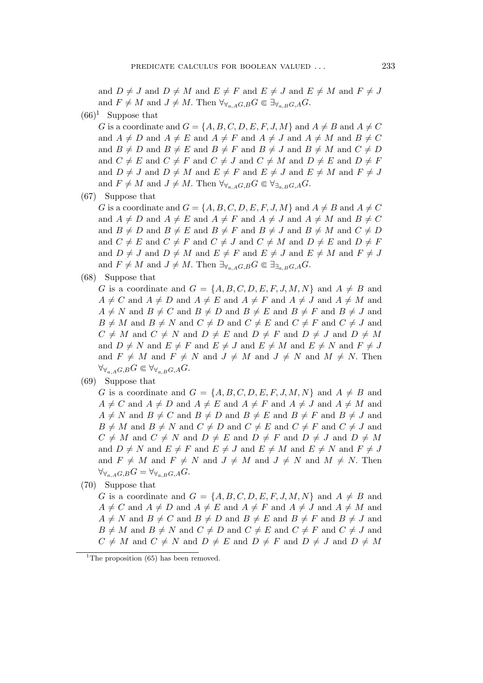and  $D \neq J$  and  $D \neq M$  and  $E \neq F$  and  $E \neq J$  and  $E \neq M$  and  $F \neq J$ and  $F \neq M$  and  $J \neq M$ . Then  $\forall \forall_{A \in A} G, B \in \exists \forall_{A \in B} G, A \subseteq$ .

 $(66)^1$  Suppose that

G is a coordinate and  $G = \{A, B, C, D, E, F, J, M\}$  and  $A \neq B$  and  $A \neq C$ and  $A \neq D$  and  $A \neq E$  and  $A \neq F$  and  $A \neq J$  and  $A \neq M$  and  $B \neq C$ and  $B \neq D$  and  $B \neq E$  and  $B \neq F$  and  $B \neq J$  and  $B \neq M$  and  $C \neq D$ and  $C \neq E$  and  $C \neq F$  and  $C \neq J$  and  $C \neq M$  and  $D \neq E$  and  $D \neq F$ and  $D \neq J$  and  $D \neq M$  and  $E \neq F$  and  $E \neq J$  and  $E \neq M$  and  $F \neq J$ and  $F \neq M$  and  $J \neq M$ . Then  $\forall_{\forall_{a,A}G,B} G \in \forall_{\exists_{a,B}G,A} G$ .

(67) Suppose that

G is a coordinate and  $G = \{A, B, C, D, E, F, J, M\}$  and  $A \neq B$  and  $A \neq C$ and  $A \neq D$  and  $A \neq E$  and  $A \neq F$  and  $A \neq J$  and  $A \neq M$  and  $B \neq C$ and  $B \neq D$  and  $B \neq E$  and  $B \neq F$  and  $B \neq J$  and  $B \neq M$  and  $C \neq D$ and  $C \neq E$  and  $C \neq F$  and  $C \neq J$  and  $C \neq M$  and  $D \neq E$  and  $D \neq F$ and  $D \neq J$  and  $D \neq M$  and  $E \neq F$  and  $E \neq J$  and  $E \neq M$  and  $F \neq J$ and  $F \neq M$  and  $J \neq M$ . Then  $\exists_{\forall_{a} A} G, B G \in \exists_{\exists_{a} B} G, A G$ .

(68) Suppose that

G is a coordinate and  $G = \{A, B, C, D, E, F, J, M, N\}$  and  $A \neq B$  and  $A \neq C$  and  $A \neq D$  and  $A \neq E$  and  $A \neq F$  and  $A \neq J$  and  $A \neq M$  and  $A \neq N$  and  $B \neq C$  and  $B \neq D$  and  $B \neq E$  and  $B \neq F$  and  $B \neq J$  and  $B \neq M$  and  $B \neq N$  and  $C \neq D$  and  $C \neq E$  and  $C \neq F$  and  $C \neq J$  and  $C \neq M$  and  $C \neq N$  and  $D \neq E$  and  $D \neq F$  and  $D \neq J$  and  $D \neq M$ and  $D \neq N$  and  $E \neq F$  and  $E \neq J$  and  $E \neq M$  and  $E \neq N$  and  $F \neq J$ and  $F \neq M$  and  $F \neq N$  and  $J \neq M$  and  $J \neq N$  and  $M \neq N$ . Then  $\forall \forall_{a.A} G,BG \in \forall \forall_{a,B} G,AG.$ 

(69) Suppose that

G is a coordinate and  $G = \{A, B, C, D, E, F, J, M, N\}$  and  $A \neq B$  and  $A \neq C$  and  $A \neq D$  and  $A \neq E$  and  $A \neq F$  and  $A \neq J$  and  $A \neq M$  and  $A \neq N$  and  $B \neq C$  and  $B \neq D$  and  $B \neq E$  and  $B \neq F$  and  $B \neq J$  and  $B \neq M$  and  $B \neq N$  and  $C \neq D$  and  $C \neq E$  and  $C \neq F$  and  $C \neq J$  and  $C \neq M$  and  $C \neq N$  and  $D \neq E$  and  $D \neq F$  and  $D \neq J$  and  $D \neq M$ and  $D \neq N$  and  $E \neq F$  and  $E \neq J$  and  $E \neq M$  and  $E \neq N$  and  $F \neq J$ and  $F \neq M$  and  $F \neq N$  and  $J \neq M$  and  $J \neq N$  and  $M \neq N$ . Then  $\forall \forall_{a,A} G, B} G = \forall \forall_{a,B} G, A}$ 

(70) Suppose that

G is a coordinate and  $G = \{A, B, C, D, E, F, J, M, N\}$  and  $A \neq B$  and  $A \neq C$  and  $A \neq D$  and  $A \neq E$  and  $A \neq F$  and  $A \neq J$  and  $A \neq M$  and  $A \neq N$  and  $B \neq C$  and  $B \neq D$  and  $B \neq E$  and  $B \neq F$  and  $B \neq J$  and  $B \neq M$  and  $B \neq N$  and  $C \neq D$  and  $C \neq E$  and  $C \neq F$  and  $C \neq J$  and  $C \neq M$  and  $C \neq N$  and  $D \neq E$  and  $D \neq F$  and  $D \neq J$  and  $D \neq M$ 

<sup>&</sup>lt;sup>1</sup>The proposition  $(65)$  has been removed.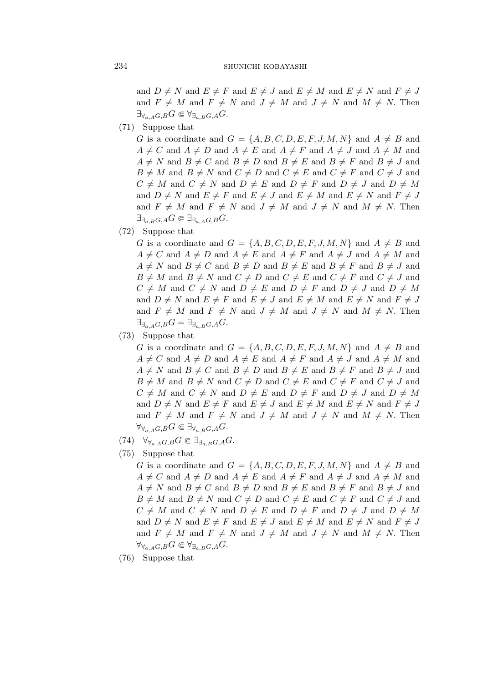and  $D \neq N$  and  $E \neq F$  and  $E \neq J$  and  $E \neq M$  and  $E \neq N$  and  $F \neq J$ and  $F \neq M$  and  $F \neq N$  and  $J \neq M$  and  $J \neq N$  and  $M \neq N$ . Then  $\exists_{\forall_{a,A}G,B} G \in \forall_{\exists_{a,B}G,A} G.$ 

 $(71)$  Suppose that

G is a coordinate and  $G = \{A, B, C, D, E, F, J, M, N\}$  and  $A \neq B$  and  $A \neq C$  and  $A \neq D$  and  $A \neq E$  and  $A \neq F$  and  $A \neq J$  and  $A \neq M$  and  $A \neq N$  and  $B \neq C$  and  $B \neq D$  and  $B \neq E$  and  $B \neq F$  and  $B \neq J$  and  $B \neq M$  and  $B \neq N$  and  $C \neq D$  and  $C \neq E$  and  $C \neq F$  and  $C \neq J$  and  $C \neq M$  and  $C \neq N$  and  $D \neq E$  and  $D \neq F$  and  $D \neq J$  and  $D \neq M$ and  $D \neq N$  and  $E \neq F$  and  $E \neq J$  and  $E \neq M$  and  $E \neq N$  and  $F \neq J$ and  $F \neq M$  and  $F \neq N$  and  $J \neq M$  and  $J \neq N$  and  $M \neq N$ . Then  $\exists_{\exists_{a,B}G, A}G \in \exists_{\exists_{a,A}G,B}G.$ 

 $(72)$  Suppose that

G is a coordinate and  $G = \{A, B, C, D, E, F, J, M, N\}$  and  $A \neq B$  and  $A \neq C$  and  $A \neq D$  and  $A \neq E$  and  $A \neq F$  and  $A \neq J$  and  $A \neq M$  and  $A \neq N$  and  $B \neq C$  and  $B \neq D$  and  $B \neq E$  and  $B \neq F$  and  $B \neq J$  and  $B \neq M$  and  $B \neq N$  and  $C \neq D$  and  $C \neq E$  and  $C \neq F$  and  $C \neq J$  and  $C \neq M$  and  $C \neq N$  and  $D \neq E$  and  $D \neq F$  and  $D \neq J$  and  $D \neq M$ and  $D \neq N$  and  $E \neq F$  and  $E \neq J$  and  $E \neq M$  and  $E \neq N$  and  $F \neq J$ and  $F \neq M$  and  $F \neq N$  and  $J \neq M$  and  $J \neq N$  and  $M \neq N$ . Then  $\exists_{\exists_{a,A}G,B} G = \exists_{\exists_{a,B}G,A} G.$ 

(73) Suppose that

G is a coordinate and  $G = \{A, B, C, D, E, F, J, M, N\}$  and  $A \neq B$  and  $A \neq C$  and  $A \neq D$  and  $A \neq E$  and  $A \neq F$  and  $A \neq J$  and  $A \neq M$  and  $A \neq N$  and  $B \neq C$  and  $B \neq D$  and  $B \neq E$  and  $B \neq F$  and  $B \neq J$  and  $B \neq M$  and  $B \neq N$  and  $C \neq D$  and  $C \neq E$  and  $C \neq F$  and  $C \neq J$  and  $C \neq M$  and  $C \neq N$  and  $D \neq E$  and  $D \neq F$  and  $D \neq J$  and  $D \neq M$ and  $D \neq N$  and  $E \neq F$  and  $E \neq J$  and  $E \neq M$  and  $E \neq N$  and  $F \neq J$ and  $F \neq M$  and  $F \neq N$  and  $J \neq M$  and  $J \neq N$  and  $M \neq N$ . Then  $\forall_{\forall_{a,A}G,B} G \in \exists_{\forall_{a,B}G,A} G.$ 

- $(74)$   $\forall_{\forall_{a,A}G,B} G \in \exists_{\exists_{a,B}G,A} G.$
- $(75)$  Suppose that

G is a coordinate and  $G = \{A, B, C, D, E, F, J, M, N\}$  and  $A \neq B$  and  $A \neq C$  and  $A \neq D$  and  $A \neq E$  and  $A \neq F$  and  $A \neq J$  and  $A \neq M$  and  $A \neq N$  and  $B \neq C$  and  $B \neq D$  and  $B \neq E$  and  $B \neq F$  and  $B \neq J$  and  $B \neq M$  and  $B \neq N$  and  $C \neq D$  and  $C \neq E$  and  $C \neq F$  and  $C \neq J$  and  $C \neq M$  and  $C \neq N$  and  $D \neq E$  and  $D \neq F$  and  $D \neq J$  and  $D \neq M$ and  $D \neq N$  and  $E \neq F$  and  $E \neq J$  and  $E \neq M$  and  $E \neq N$  and  $F \neq J$ and  $F \neq M$  and  $F \neq N$  and  $J \neq M$  and  $J \neq N$  and  $M \neq N$ . Then  $\forall_{\forall_{a,A}G,B} G \in \forall_{\exists_{a,B}G,A} G.$ 

 $(76)$  Suppose that